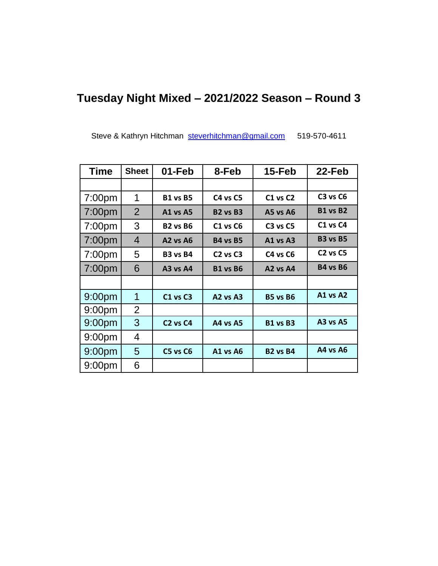## **Tuesday Night Mixed – 2021/2022 Season – Round 3**

Steve & Kathryn Hitchman [steverhitchman@gmail.com](mailto:steverhitchman@gmail.com) 519-570-4611

| <b>Time</b>        | <b>Sheet</b> | 01-Feb                           | 8-Feb                            | 15-Feb          | 22-Feb                           |
|--------------------|--------------|----------------------------------|----------------------------------|-----------------|----------------------------------|
|                    |              |                                  |                                  |                 |                                  |
| 7:00 <sub>pm</sub> | 1            | <b>B1 vs B5</b>                  | C4 vs C5                         | $C1$ vs $C2$    | C3 vs C6                         |
| 7:00 <sub>pm</sub> | 2            | <b>A1 vs A5</b>                  | <b>B2 vs B3</b>                  | A5 vs A6        | <b>B1 vs B2</b>                  |
| 7:00 <sub>pm</sub> | 3            | <b>B2 vs B6</b>                  | <b>C1 vs C6</b>                  | <b>C3 vs C5</b> | $C1$ vs $C4$                     |
| 7:00 <sub>pm</sub> | 4            | <b>A2 vs A6</b>                  | <b>B4 vs B5</b>                  | A1 vs A3        | <b>B3 vs B5</b>                  |
| 7:00 <sub>pm</sub> | 5            | <b>B3 vs B4</b>                  | C <sub>2</sub> vs C <sub>3</sub> | C4 vs C6        | C <sub>2</sub> vs C <sub>5</sub> |
| 7:00 <sub>pm</sub> | 6            | $A3$ vs $A4$                     | <b>B1 vs B6</b>                  | $A2$ vs $A4$    | <b>B4 vs B6</b>                  |
|                    |              |                                  |                                  |                 |                                  |
| 9:00 <sub>pm</sub> | 1            | $C1$ vs $C3$                     | A <sub>2</sub> vs A <sub>3</sub> | <b>B5 vs B6</b> | <b>A1 vs A2</b>                  |
| 9:00 <sub>pm</sub> | 2            |                                  |                                  |                 |                                  |
| 9:00 <sub>pm</sub> | 3            | C <sub>2</sub> vs C <sub>4</sub> | A4 vs A5                         | <b>B1 vs B3</b> | <b>A3 vs A5</b>                  |
| 9:00 <sub>pm</sub> | 4            |                                  |                                  |                 |                                  |
| 9:00 <sub>pm</sub> | 5            | C5 vs C6                         | <b>A1 vs A6</b>                  | <b>B2 vs B4</b> | A4 vs A6                         |
| 9:00 <sub>pm</sub> | 6            |                                  |                                  |                 |                                  |